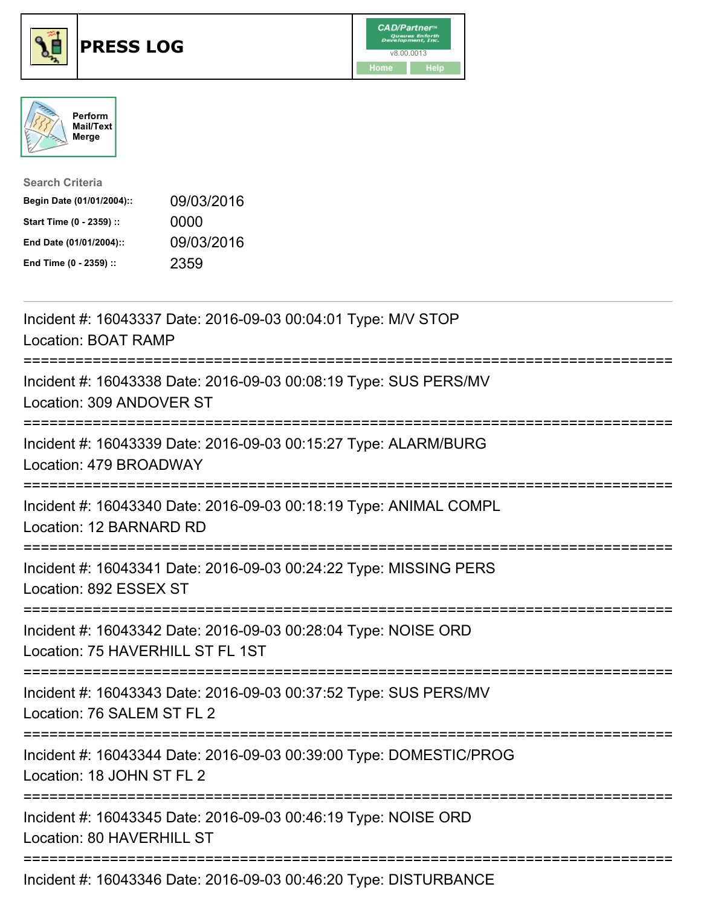





| <b>Search Criteria</b>    |            |
|---------------------------|------------|
| Begin Date (01/01/2004):: | 09/03/2016 |
| Start Time (0 - 2359) ::  | 0000       |
| End Date (01/01/2004)::   | 09/03/2016 |
| End Time (0 - 2359) ::    | 2359       |

| Incident #: 16043337 Date: 2016-09-03 00:04:01 Type: M/V STOP<br><b>Location: BOAT RAMP</b>        |
|----------------------------------------------------------------------------------------------------|
| Incident #: 16043338 Date: 2016-09-03 00:08:19 Type: SUS PERS/MV<br>Location: 309 ANDOVER ST       |
| Incident #: 16043339 Date: 2016-09-03 00:15:27 Type: ALARM/BURG<br>Location: 479 BROADWAY          |
| Incident #: 16043340 Date: 2016-09-03 00:18:19 Type: ANIMAL COMPL<br>Location: 12 BARNARD RD       |
| Incident #: 16043341 Date: 2016-09-03 00:24:22 Type: MISSING PERS<br>Location: 892 ESSEX ST        |
| Incident #: 16043342 Date: 2016-09-03 00:28:04 Type: NOISE ORD<br>Location: 75 HAVERHILL ST FL 1ST |
| Incident #: 16043343 Date: 2016-09-03 00:37:52 Type: SUS PERS/MV<br>Location: 76 SALEM ST FL 2     |
| Incident #: 16043344 Date: 2016-09-03 00:39:00 Type: DOMESTIC/PROG<br>Location: 18 JOHN ST FL 2    |
| Incident #: 16043345 Date: 2016-09-03 00:46:19 Type: NOISE ORD<br>Location: 80 HAVERHILL ST        |
| Incident #: 16043346 Date: 2016-09-03 00:46:20 Type: DISTURBANCE                                   |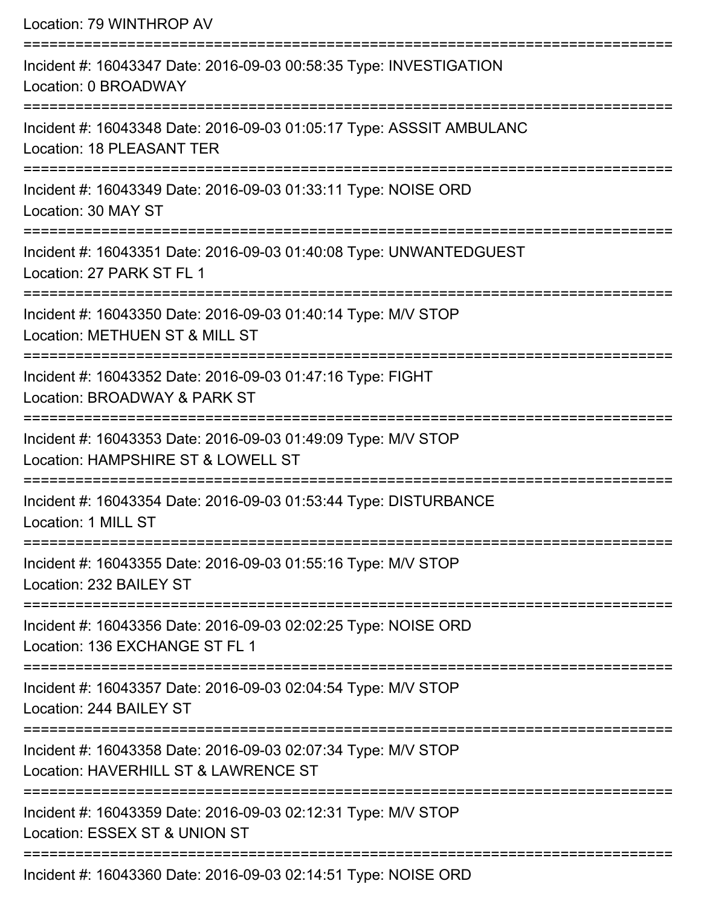Location: 79 WINTHROP AV =========================================================================== Incident #: 16043347 Date: 2016-09-03 00:58:35 Type: INVESTIGATION Location: 0 BROADWAY =========================================================================== Incident #: 16043348 Date: 2016-09-03 01:05:17 Type: ASSSIT AMBULANC Location: 18 PLEASANT TER =========================================================================== Incident #: 16043349 Date: 2016-09-03 01:33:11 Type: NOISE ORD Location: 30 MAY ST =========================================================================== Incident #: 16043351 Date: 2016-09-03 01:40:08 Type: UNWANTEDGUEST Location: 27 PARK ST FL 1 =========================================================================== Incident #: 16043350 Date: 2016-09-03 01:40:14 Type: M/V STOP Location: METHUEN ST & MILL ST =========================================================================== Incident #: 16043352 Date: 2016-09-03 01:47:16 Type: FIGHT Location: BROADWAY & PARK ST =========================================================================== Incident #: 16043353 Date: 2016-09-03 01:49:09 Type: M/V STOP Location: HAMPSHIRF ST & LOWELL ST =========================================================================== Incident #: 16043354 Date: 2016-09-03 01:53:44 Type: DISTURBANCE Location: 1 MILL ST =========================================================================== Incident #: 16043355 Date: 2016-09-03 01:55:16 Type: M/V STOP Location: 232 BAILEY ST =========================================================================== Incident #: 16043356 Date: 2016-09-03 02:02:25 Type: NOISE ORD Location: 136 EXCHANGE ST FL 1 =========================================================================== Incident #: 16043357 Date: 2016-09-03 02:04:54 Type: M/V STOP Location: 244 BAILEY ST =========================================================================== Incident #: 16043358 Date: 2016-09-03 02:07:34 Type: M/V STOP Location: HAVERHILL ST & LAWRENCE ST =========================================================================== Incident #: 16043359 Date: 2016-09-03 02:12:31 Type: M/V STOP Location: ESSEX ST & UNION ST ===========================================================================

Incident #: 16043360 Date: 2016-09-03 02:14:51 Type: NOISE ORD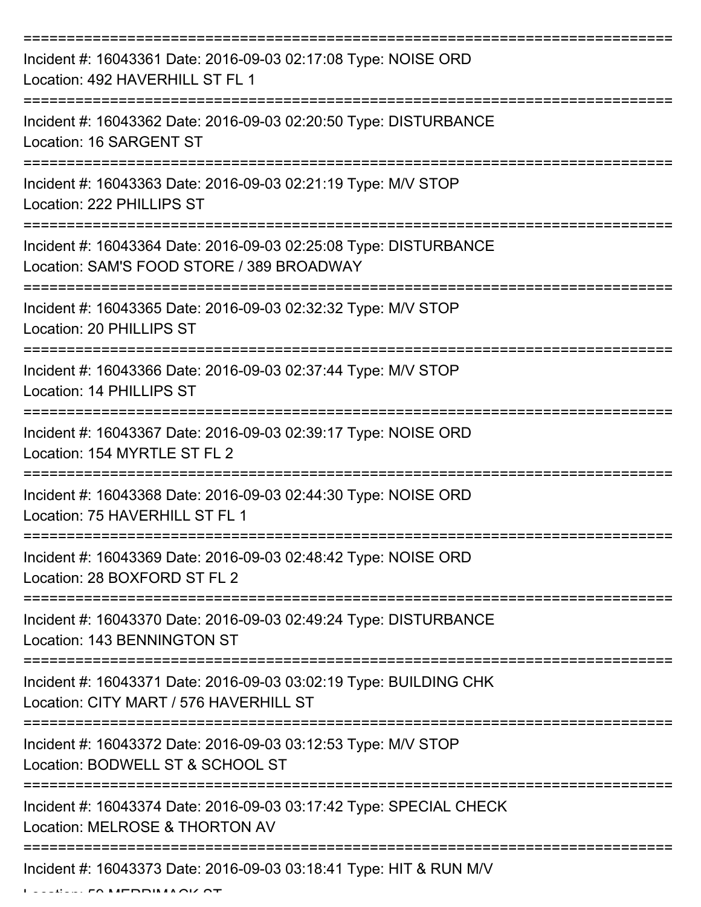| Incident #: 16043361 Date: 2016-09-03 02:17:08 Type: NOISE ORD<br>Location: 492 HAVERHILL ST FL 1             |
|---------------------------------------------------------------------------------------------------------------|
| Incident #: 16043362 Date: 2016-09-03 02:20:50 Type: DISTURBANCE<br>Location: 16 SARGENT ST                   |
| Incident #: 16043363 Date: 2016-09-03 02:21:19 Type: M/V STOP<br>Location: 222 PHILLIPS ST                    |
| Incident #: 16043364 Date: 2016-09-03 02:25:08 Type: DISTURBANCE<br>Location: SAM'S FOOD STORE / 389 BROADWAY |
| Incident #: 16043365 Date: 2016-09-03 02:32:32 Type: M/V STOP<br>Location: 20 PHILLIPS ST                     |
| Incident #: 16043366 Date: 2016-09-03 02:37:44 Type: M/V STOP<br>Location: 14 PHILLIPS ST                     |
| Incident #: 16043367 Date: 2016-09-03 02:39:17 Type: NOISE ORD<br>Location: 154 MYRTLE ST FL 2                |
| Incident #: 16043368 Date: 2016-09-03 02:44:30 Type: NOISE ORD<br>Location: 75 HAVERHILL ST FL 1              |
| Incident #: 16043369 Date: 2016-09-03 02:48:42 Type: NOISE ORD<br>Location: 28 BOXFORD ST FL 2                |
| Incident #: 16043370 Date: 2016-09-03 02:49:24 Type: DISTURBANCE<br>Location: 143 BENNINGTON ST               |
| Incident #: 16043371 Date: 2016-09-03 03:02:19 Type: BUILDING CHK<br>Location: CITY MART / 576 HAVERHILL ST   |
| Incident #: 16043372 Date: 2016-09-03 03:12:53 Type: M/V STOP<br>Location: BODWELL ST & SCHOOL ST             |
| Incident #: 16043374 Date: 2016-09-03 03:17:42 Type: SPECIAL CHECK<br>Location: MELROSE & THORTON AV          |
| Incident #: 16043373 Date: 2016-09-03 03:18:41 Type: HIT & RUN M/V                                            |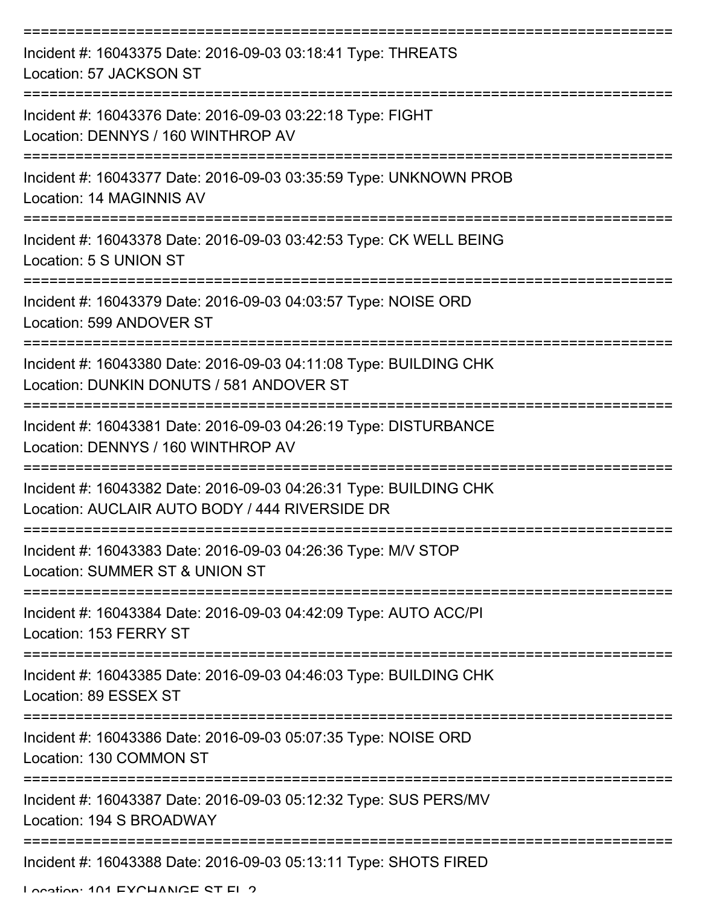| Incident #: 16043375 Date: 2016-09-03 03:18:41 Type: THREATS<br>Location: 57 JACKSON ST                             |
|---------------------------------------------------------------------------------------------------------------------|
| Incident #: 16043376 Date: 2016-09-03 03:22:18 Type: FIGHT<br>Location: DENNYS / 160 WINTHROP AV                    |
| Incident #: 16043377 Date: 2016-09-03 03:35:59 Type: UNKNOWN PROB<br>Location: 14 MAGINNIS AV                       |
| Incident #: 16043378 Date: 2016-09-03 03:42:53 Type: CK WELL BEING<br>Location: 5 S UNION ST                        |
| Incident #: 16043379 Date: 2016-09-03 04:03:57 Type: NOISE ORD<br>Location: 599 ANDOVER ST                          |
| Incident #: 16043380 Date: 2016-09-03 04:11:08 Type: BUILDING CHK<br>Location: DUNKIN DONUTS / 581 ANDOVER ST       |
| Incident #: 16043381 Date: 2016-09-03 04:26:19 Type: DISTURBANCE<br>Location: DENNYS / 160 WINTHROP AV              |
| Incident #: 16043382 Date: 2016-09-03 04:26:31 Type: BUILDING CHK<br>Location: AUCLAIR AUTO BODY / 444 RIVERSIDE DR |
| Incident #: 16043383 Date: 2016-09-03 04:26:36 Type: M/V STOP<br>Location: SUMMER ST & UNION ST                     |
| Incident #: 16043384 Date: 2016-09-03 04:42:09 Type: AUTO ACC/PI<br>Location: 153 FERRY ST                          |
| Incident #: 16043385 Date: 2016-09-03 04:46:03 Type: BUILDING CHK<br>Location: 89 ESSEX ST                          |
| Incident #: 16043386 Date: 2016-09-03 05:07:35 Type: NOISE ORD<br>Location: 130 COMMON ST                           |
| Incident #: 16043387 Date: 2016-09-03 05:12:32 Type: SUS PERS/MV<br>Location: 194 S BROADWAY                        |
| Incident #: 16043388 Date: 2016-09-03 05:13:11 Type: SHOTS FIRED                                                    |

Location: 101 EVOUANCE ST EL 2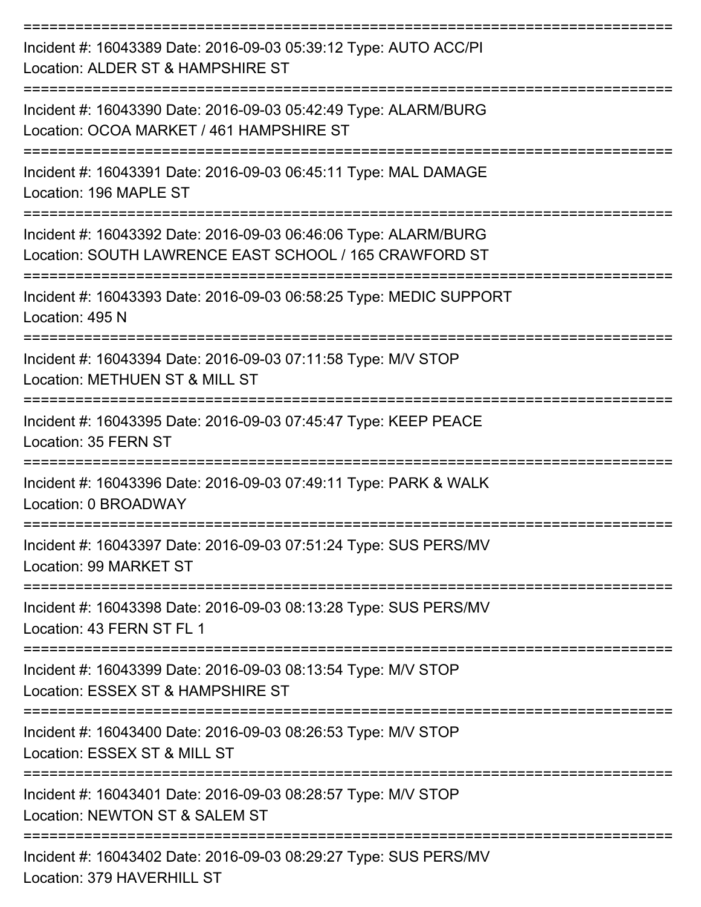| Incident #: 16043389 Date: 2016-09-03 05:39:12 Type: AUTO ACC/PI<br>Location: ALDER ST & HAMPSHIRE ST                          |
|--------------------------------------------------------------------------------------------------------------------------------|
| Incident #: 16043390 Date: 2016-09-03 05:42:49 Type: ALARM/BURG<br>Location: OCOA MARKET / 461 HAMPSHIRE ST                    |
| Incident #: 16043391 Date: 2016-09-03 06:45:11 Type: MAL DAMAGE<br>Location: 196 MAPLE ST                                      |
| Incident #: 16043392 Date: 2016-09-03 06:46:06 Type: ALARM/BURG<br>Location: SOUTH LAWRENCE EAST SCHOOL / 165 CRAWFORD ST      |
| Incident #: 16043393 Date: 2016-09-03 06:58:25 Type: MEDIC SUPPORT<br>Location: 495 N                                          |
| Incident #: 16043394 Date: 2016-09-03 07:11:58 Type: M/V STOP<br>Location: METHUEN ST & MILL ST                                |
| Incident #: 16043395 Date: 2016-09-03 07:45:47 Type: KEEP PEACE<br>Location: 35 FERN ST<br>===================                 |
| Incident #: 16043396 Date: 2016-09-03 07:49:11 Type: PARK & WALK<br>Location: 0 BROADWAY                                       |
| :===============================<br>Incident #: 16043397 Date: 2016-09-03 07:51:24 Type: SUS PERS/MV<br>Location: 99 MARKET ST |
| Incident #: 16043398 Date: 2016-09-03 08:13:28 Type: SUS PERS/MV<br>Location: 43 FERN ST FL 1                                  |
| Incident #: 16043399 Date: 2016-09-03 08:13:54 Type: M/V STOP<br>Location: ESSEX ST & HAMPSHIRE ST                             |
| =======================<br>Incident #: 16043400 Date: 2016-09-03 08:26:53 Type: M/V STOP<br>Location: ESSEX ST & MILL ST       |
| Incident #: 16043401 Date: 2016-09-03 08:28:57 Type: M/V STOP<br>Location: NEWTON ST & SALEM ST                                |
| Incident #: 16043402 Date: 2016-09-03 08:29:27 Type: SUS PERS/MV                                                               |

Location: 379 HAVERHILL ST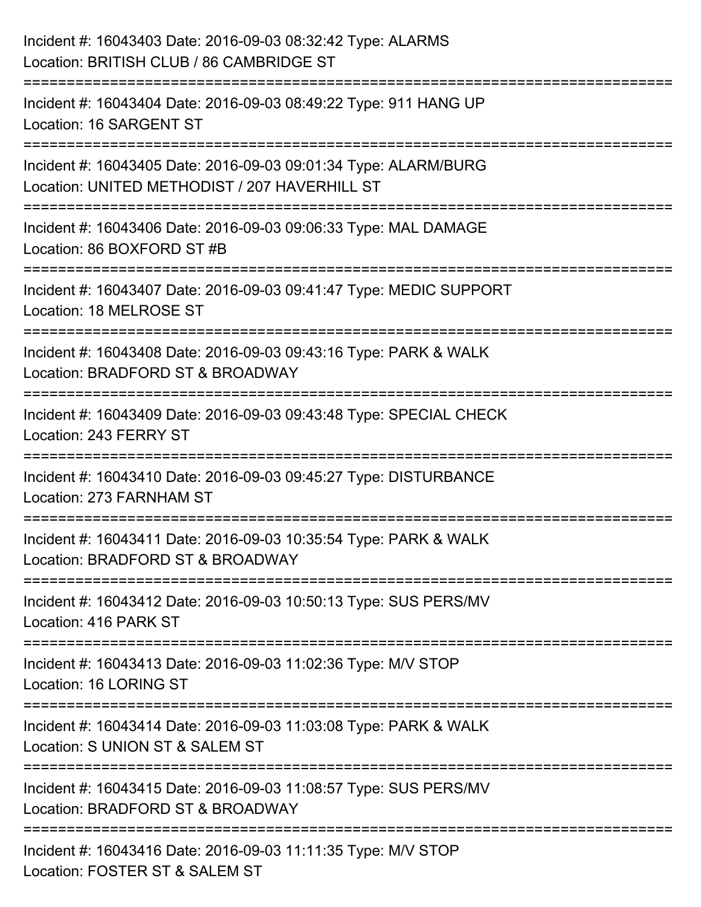| Incident #: 16043403 Date: 2016-09-03 08:32:42 Type: ALARMS<br>Location: BRITISH CLUB / 86 CAMBRIDGE ST          |
|------------------------------------------------------------------------------------------------------------------|
| Incident #: 16043404 Date: 2016-09-03 08:49:22 Type: 911 HANG UP<br>Location: 16 SARGENT ST                      |
| Incident #: 16043405 Date: 2016-09-03 09:01:34 Type: ALARM/BURG<br>Location: UNITED METHODIST / 207 HAVERHILL ST |
| Incident #: 16043406 Date: 2016-09-03 09:06:33 Type: MAL DAMAGE<br>Location: 86 BOXFORD ST #B                    |
| Incident #: 16043407 Date: 2016-09-03 09:41:47 Type: MEDIC SUPPORT<br>Location: 18 MELROSE ST                    |
| Incident #: 16043408 Date: 2016-09-03 09:43:16 Type: PARK & WALK<br>Location: BRADFORD ST & BROADWAY             |
| Incident #: 16043409 Date: 2016-09-03 09:43:48 Type: SPECIAL CHECK<br>Location: 243 FERRY ST                     |
| Incident #: 16043410 Date: 2016-09-03 09:45:27 Type: DISTURBANCE<br>Location: 273 FARNHAM ST                     |
| Incident #: 16043411 Date: 2016-09-03 10:35:54 Type: PARK & WALK<br>Location: BRADFORD ST & BROADWAY             |
| Incident #: 16043412 Date: 2016-09-03 10:50:13 Type: SUS PERS/MV<br>Location: 416 PARK ST                        |
| Incident #: 16043413 Date: 2016-09-03 11:02:36 Type: M/V STOP<br>Location: 16 LORING ST                          |
| Incident #: 16043414 Date: 2016-09-03 11:03:08 Type: PARK & WALK<br>Location: S UNION ST & SALEM ST              |
| Incident #: 16043415 Date: 2016-09-03 11:08:57 Type: SUS PERS/MV<br>Location: BRADFORD ST & BROADWAY             |
| =============<br>Incident #: 16043416 Date: 2016-09-03 11:11:35 Type: M/V STOP<br>Location: FOSTER ST & SALEM ST |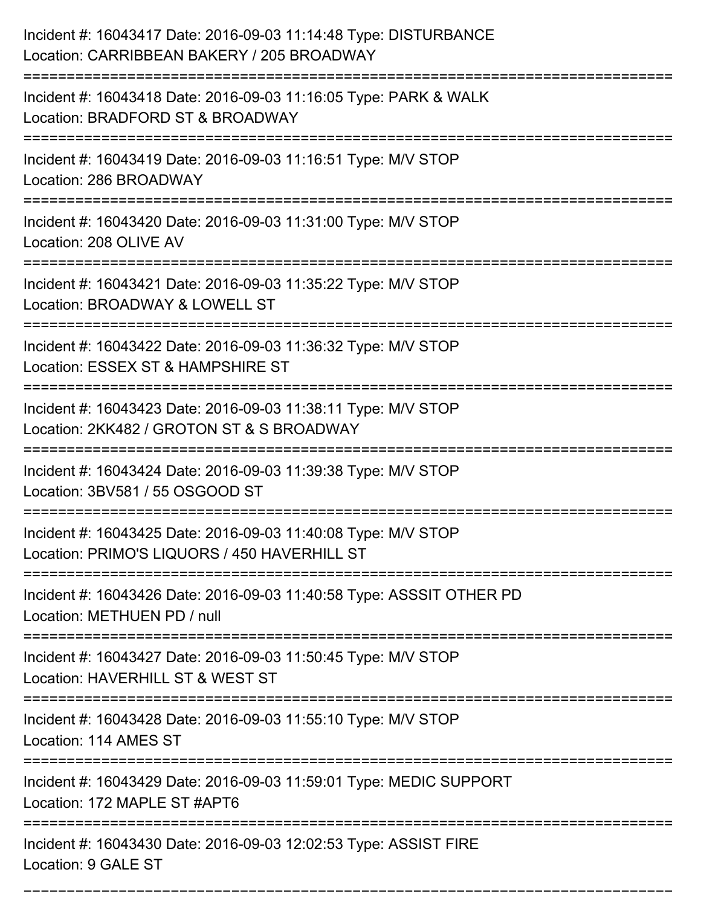| Incident #: 16043417 Date: 2016-09-03 11:14:48 Type: DISTURBANCE<br>Location: CARRIBBEAN BAKERY / 205 BROADWAY                                                     |
|--------------------------------------------------------------------------------------------------------------------------------------------------------------------|
| Incident #: 16043418 Date: 2016-09-03 11:16:05 Type: PARK & WALK<br>Location: BRADFORD ST & BROADWAY                                                               |
| Incident #: 16043419 Date: 2016-09-03 11:16:51 Type: M/V STOP<br>Location: 286 BROADWAY                                                                            |
| Incident #: 16043420 Date: 2016-09-03 11:31:00 Type: M/V STOP<br>Location: 208 OLIVE AV                                                                            |
| Incident #: 16043421 Date: 2016-09-03 11:35:22 Type: M/V STOP<br>Location: BROADWAY & LOWELL ST<br>======================================<br>:==================== |
| Incident #: 16043422 Date: 2016-09-03 11:36:32 Type: M/V STOP<br>Location: ESSEX ST & HAMPSHIRE ST                                                                 |
| Incident #: 16043423 Date: 2016-09-03 11:38:11 Type: M/V STOP<br>Location: 2KK482 / GROTON ST & S BROADWAY                                                         |
| Incident #: 16043424 Date: 2016-09-03 11:39:38 Type: M/V STOP<br>Location: 3BV581 / 55 OSGOOD ST                                                                   |
| Incident #: 16043425 Date: 2016-09-03 11:40:08 Type: M/V STOP<br>Location: PRIMO'S LIQUORS / 450 HAVERHILL ST                                                      |
| Incident #: 16043426 Date: 2016-09-03 11:40:58 Type: ASSSIT OTHER PD<br>Location: METHUEN PD / null                                                                |
| Incident #: 16043427 Date: 2016-09-03 11:50:45 Type: M/V STOP<br>Location: HAVERHILL ST & WEST ST                                                                  |
| Incident #: 16043428 Date: 2016-09-03 11:55:10 Type: M/V STOP<br>Location: 114 AMES ST                                                                             |
| ==========================<br>Incident #: 16043429 Date: 2016-09-03 11:59:01 Type: MEDIC SUPPORT<br>Location: 172 MAPLE ST #APT6                                   |
| Incident #: 16043430 Date: 2016-09-03 12:02:53 Type: ASSIST FIRE<br>Location: 9 GALE ST                                                                            |

===========================================================================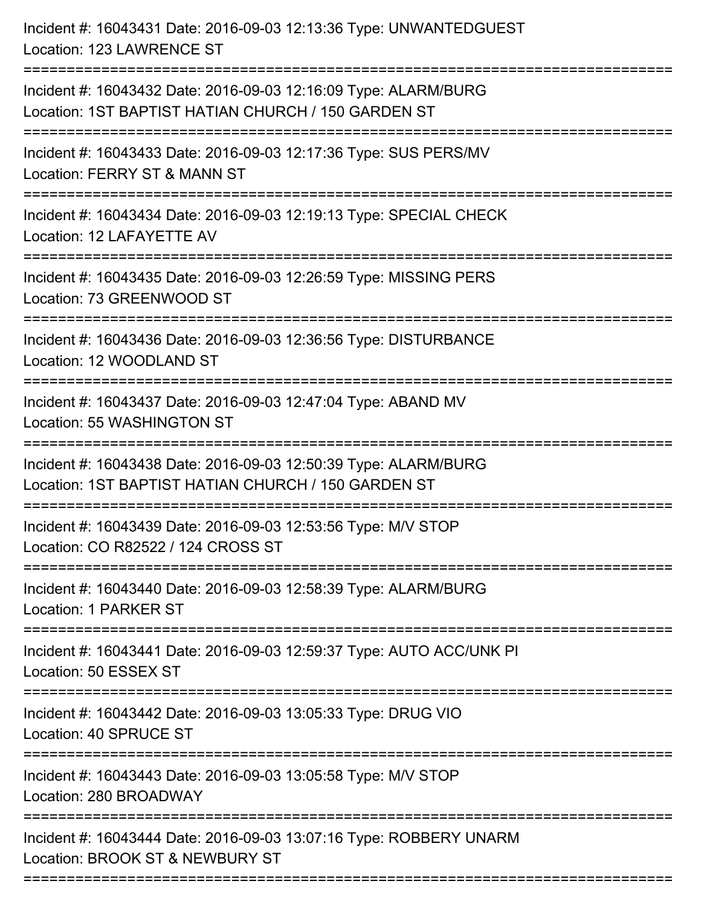| Incident #: 16043431 Date: 2016-09-03 12:13:36 Type: UNWANTEDGUEST<br>Location: 123 LAWRENCE ST                                         |
|-----------------------------------------------------------------------------------------------------------------------------------------|
| Incident #: 16043432 Date: 2016-09-03 12:16:09 Type: ALARM/BURG<br>Location: 1ST BAPTIST HATIAN CHURCH / 150 GARDEN ST                  |
| Incident #: 16043433 Date: 2016-09-03 12:17:36 Type: SUS PERS/MV<br>Location: FERRY ST & MANN ST<br>=================================== |
| Incident #: 16043434 Date: 2016-09-03 12:19:13 Type: SPECIAL CHECK<br>Location: 12 LAFAYETTE AV                                         |
| Incident #: 16043435 Date: 2016-09-03 12:26:59 Type: MISSING PERS<br>Location: 73 GREENWOOD ST                                          |
| Incident #: 16043436 Date: 2016-09-03 12:36:56 Type: DISTURBANCE<br>Location: 12 WOODLAND ST                                            |
| Incident #: 16043437 Date: 2016-09-03 12:47:04 Type: ABAND MV<br>Location: 55 WASHINGTON ST<br>:===============                         |
| Incident #: 16043438 Date: 2016-09-03 12:50:39 Type: ALARM/BURG<br>Location: 1ST BAPTIST HATIAN CHURCH / 150 GARDEN ST                  |
| Incident #: 16043439 Date: 2016-09-03 12:53:56 Type: M/V STOP<br>Location: CO R82522 / 124 CROSS ST                                     |
| Incident #: 16043440 Date: 2016-09-03 12:58:39 Type: ALARM/BURG<br>Location: 1 PARKER ST                                                |
| Incident #: 16043441 Date: 2016-09-03 12:59:37 Type: AUTO ACC/UNK PI<br>Location: 50 ESSEX ST                                           |
| Incident #: 16043442 Date: 2016-09-03 13:05:33 Type: DRUG VIO<br>Location: 40 SPRUCE ST                                                 |
| Incident #: 16043443 Date: 2016-09-03 13:05:58 Type: M/V STOP<br>Location: 280 BROADWAY                                                 |
| Incident #: 16043444 Date: 2016-09-03 13:07:16 Type: ROBBERY UNARM<br>Location: BROOK ST & NEWBURY ST                                   |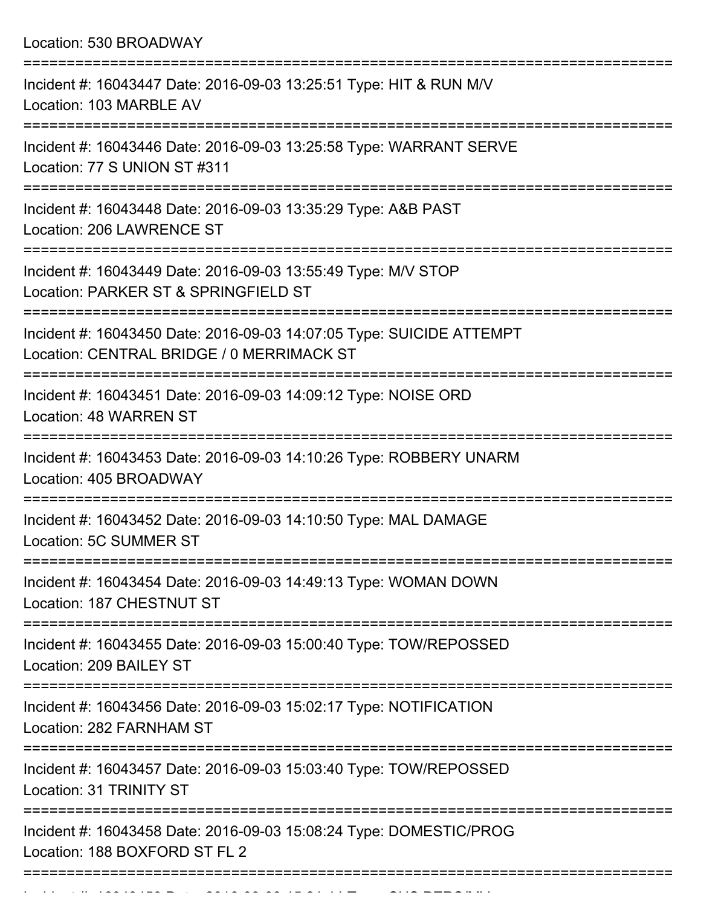Location: 530 BROADWAY =========================================================================== Incident #: 16043447 Date: 2016-09-03 13:25:51 Type: HIT & RUN M/V Location: 103 MARBLE AV =========================================================================== Incident #: 16043446 Date: 2016-09-03 13:25:58 Type: WARRANT SERVE Location: 77 S UNION ST #311 =========================================================================== Incident #: 16043448 Date: 2016-09-03 13:35:29 Type: A&B PAST Location: 206 LAWRENCE ST =========================================================================== Incident #: 16043449 Date: 2016-09-03 13:55:49 Type: M/V STOP Location: PARKER ST & SPRINGFIELD ST =========================================================================== Incident #: 16043450 Date: 2016-09-03 14:07:05 Type: SUICIDE ATTEMPT Location: CENTRAL BRIDGE / 0 MERRIMACK ST =========================================================================== Incident #: 16043451 Date: 2016-09-03 14:09:12 Type: NOISE ORD Location: 48 WARREN ST =========================================================================== Incident #: 16043453 Date: 2016-09-03 14:10:26 Type: ROBBERY UNARM Location: 405 BROADWAY =========================================================================== Incident #: 16043452 Date: 2016-09-03 14:10:50 Type: MAL DAMAGE Location: 5C SUMMER ST =========================================================================== Incident #: 16043454 Date: 2016-09-03 14:49:13 Type: WOMAN DOWN Location: 187 CHESTNUT ST =========================================================================== Incident #: 16043455 Date: 2016-09-03 15:00:40 Type: TOW/REPOSSED Location: 209 BAILEY ST =========================================================================== Incident #: 16043456 Date: 2016-09-03 15:02:17 Type: NOTIFICATION Location: 282 FARNHAM ST =========================================================================== Incident #: 16043457 Date: 2016-09-03 15:03:40 Type: TOW/REPOSSED Location: 31 TRINITY ST =========================================================================== Incident #: 16043458 Date: 2016-09-03 15:08:24 Type: DOMESTIC/PROG Location: 188 BOXFORD ST FL 2

===========================================================================

Incident #: 16043459 Date: 2016 09 03 15:21:45 Date: 2016 PERS/MV<br>|-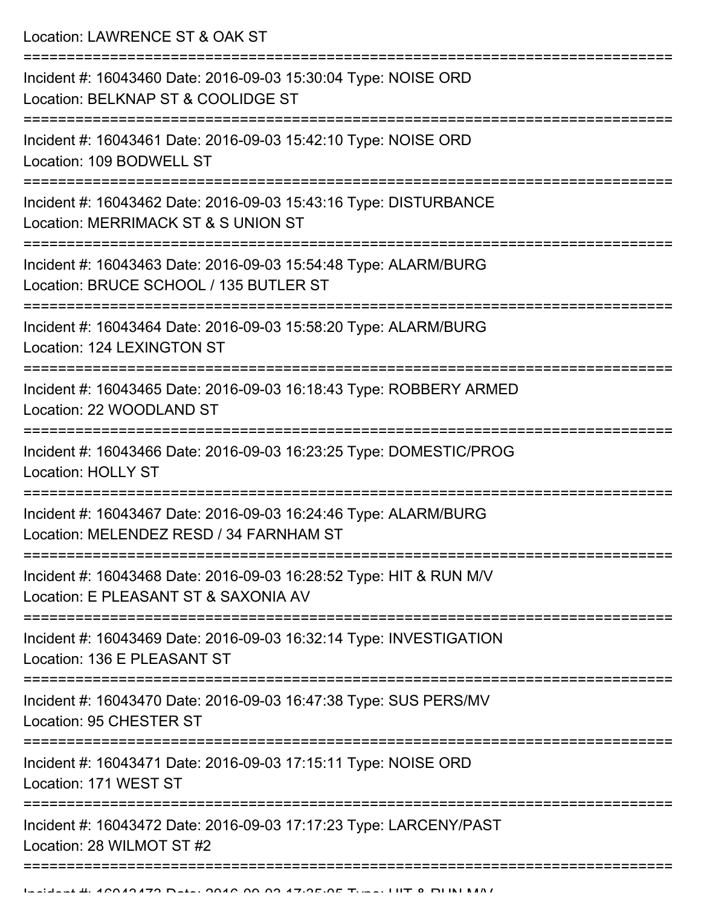Location: LAWRENCE ST & OAK ST

| Incident #: 16043460 Date: 2016-09-03 15:30:04 Type: NOISE ORD<br>Location: BELKNAP ST & COOLIDGE ST       |
|------------------------------------------------------------------------------------------------------------|
| Incident #: 16043461 Date: 2016-09-03 15:42:10 Type: NOISE ORD<br>Location: 109 BODWELL ST                 |
| Incident #: 16043462 Date: 2016-09-03 15:43:16 Type: DISTURBANCE<br>Location: MERRIMACK ST & S UNION ST    |
| Incident #: 16043463 Date: 2016-09-03 15:54:48 Type: ALARM/BURG<br>Location: BRUCE SCHOOL / 135 BUTLER ST  |
| Incident #: 16043464 Date: 2016-09-03 15:58:20 Type: ALARM/BURG<br>Location: 124 LEXINGTON ST              |
| Incident #: 16043465 Date: 2016-09-03 16:18:43 Type: ROBBERY ARMED<br>Location: 22 WOODLAND ST             |
| Incident #: 16043466 Date: 2016-09-03 16:23:25 Type: DOMESTIC/PROG<br><b>Location: HOLLY ST</b>            |
| Incident #: 16043467 Date: 2016-09-03 16:24:46 Type: ALARM/BURG<br>Location: MELENDEZ RESD / 34 FARNHAM ST |
| Incident #: 16043468 Date: 2016-09-03 16:28:52 Type: HIT & RUN M/V<br>Location: E PLEASANT ST & SAXONIA AV |
| Incident #: 16043469 Date: 2016-09-03 16:32:14 Type: INVESTIGATION<br>Location: 136 E PLEASANT ST          |
| Incident #: 16043470 Date: 2016-09-03 16:47:38 Type: SUS PERS/MV<br>Location: 95 CHESTER ST                |
| Incident #: 16043471 Date: 2016-09-03 17:15:11 Type: NOISE ORD<br>Location: 171 WEST ST                    |
| Incident #: 16043472 Date: 2016-09-03 17:17:23 Type: LARCENY/PAST<br>Location: 28 WILMOT ST #2             |
|                                                                                                            |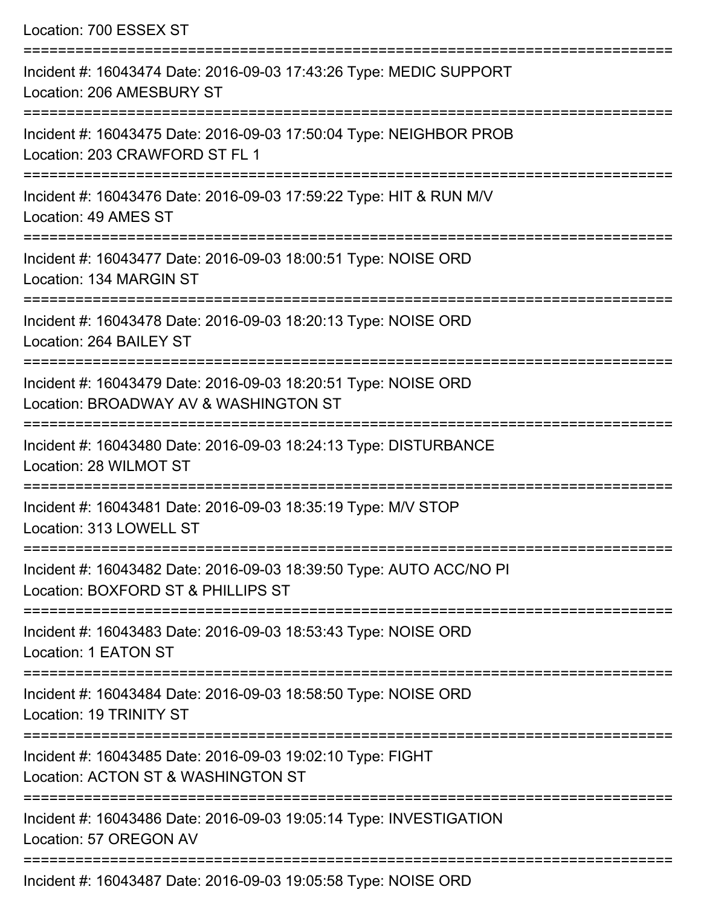| Location: 700 ESSEX ST                                                                                                              |
|-------------------------------------------------------------------------------------------------------------------------------------|
| Incident #: 16043474 Date: 2016-09-03 17:43:26 Type: MEDIC SUPPORT<br>Location: 206 AMESBURY ST<br>================================ |
| Incident #: 16043475 Date: 2016-09-03 17:50:04 Type: NEIGHBOR PROB<br>Location: 203 CRAWFORD ST FL 1<br>===================         |
| Incident #: 16043476 Date: 2016-09-03 17:59:22 Type: HIT & RUN M/V<br>Location: 49 AMES ST<br>==================================    |
| Incident #: 16043477 Date: 2016-09-03 18:00:51 Type: NOISE ORD<br>Location: 134 MARGIN ST                                           |
| Incident #: 16043478 Date: 2016-09-03 18:20:13 Type: NOISE ORD<br>Location: 264 BAILEY ST<br>=================                      |
| Incident #: 16043479 Date: 2016-09-03 18:20:51 Type: NOISE ORD<br>Location: BROADWAY AV & WASHINGTON ST                             |
| Incident #: 16043480 Date: 2016-09-03 18:24:13 Type: DISTURBANCE<br>Location: 28 WILMOT ST                                          |
| Incident #: 16043481 Date: 2016-09-03 18:35:19 Type: M/V STOP<br>Location: 313 LOWELL ST                                            |
| Incident #: 16043482 Date: 2016-09-03 18:39:50 Type: AUTO ACC/NO PI<br>Location: BOXFORD ST & PHILLIPS ST                           |
| Incident #: 16043483 Date: 2016-09-03 18:53:43 Type: NOISE ORD<br>Location: 1 EATON ST                                              |
| Incident #: 16043484 Date: 2016-09-03 18:58:50 Type: NOISE ORD<br>Location: 19 TRINITY ST                                           |
| Incident #: 16043485 Date: 2016-09-03 19:02:10 Type: FIGHT<br>Location: ACTON ST & WASHINGTON ST                                    |
| Incident #: 16043486 Date: 2016-09-03 19:05:14 Type: INVESTIGATION<br>Location: 57 OREGON AV                                        |

Incident #: 16043487 Date: 2016-09-03 19:05:58 Type: NOISE ORD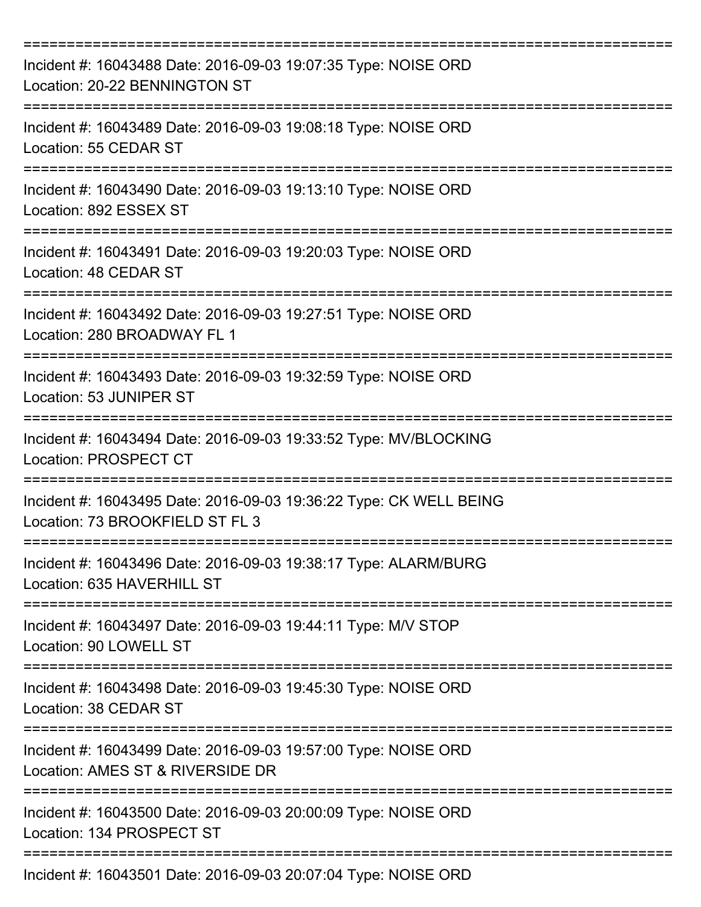| Incident #: 16043488 Date: 2016-09-03 19:07:35 Type: NOISE ORD<br>Location: 20-22 BENNINGTON ST                   |
|-------------------------------------------------------------------------------------------------------------------|
| Incident #: 16043489 Date: 2016-09-03 19:08:18 Type: NOISE ORD<br>Location: 55 CEDAR ST                           |
| Incident #: 16043490 Date: 2016-09-03 19:13:10 Type: NOISE ORD<br>Location: 892 ESSEX ST                          |
| Incident #: 16043491 Date: 2016-09-03 19:20:03 Type: NOISE ORD<br>Location: 48 CEDAR ST                           |
| Incident #: 16043492 Date: 2016-09-03 19:27:51 Type: NOISE ORD<br>Location: 280 BROADWAY FL 1                     |
| Incident #: 16043493 Date: 2016-09-03 19:32:59 Type: NOISE ORD<br>Location: 53 JUNIPER ST                         |
| Incident #: 16043494 Date: 2016-09-03 19:33:52 Type: MV/BLOCKING<br><b>Location: PROSPECT CT</b><br>============= |
| Incident #: 16043495 Date: 2016-09-03 19:36:22 Type: CK WELL BEING<br>Location: 73 BROOKFIELD ST FL 3             |
| Incident #: 16043496 Date: 2016-09-03 19:38:17 Type: ALARM/BURG<br>Location: 635 HAVERHILL ST                     |
| Incident #: 16043497 Date: 2016-09-03 19:44:11 Type: M/V STOP<br>Location: 90 LOWELL ST                           |
| Incident #: 16043498 Date: 2016-09-03 19:45:30 Type: NOISE ORD<br>Location: 38 CEDAR ST                           |
| Incident #: 16043499 Date: 2016-09-03 19:57:00 Type: NOISE ORD<br>Location: AMES ST & RIVERSIDE DR                |
| Incident #: 16043500 Date: 2016-09-03 20:00:09 Type: NOISE ORD<br>Location: 134 PROSPECT ST                       |
| Incident #: 16043501 Date: 2016-09-03 20:07:04 Type: NOISE ORD                                                    |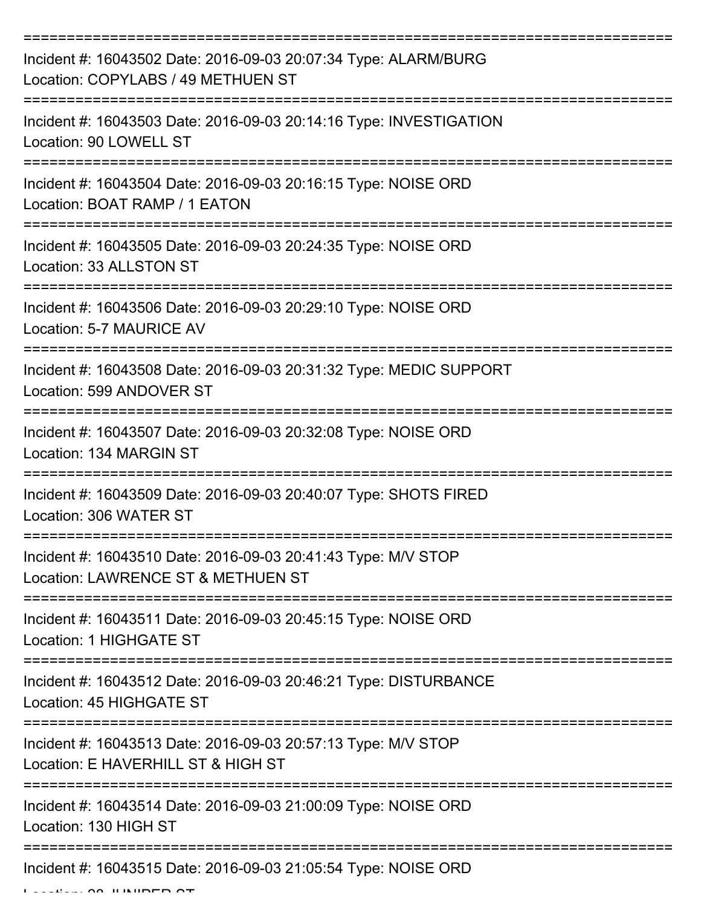| Incident #: 16043502 Date: 2016-09-03 20:07:34 Type: ALARM/BURG<br>Location: COPYLABS / 49 METHUEN ST |
|-------------------------------------------------------------------------------------------------------|
| Incident #: 16043503 Date: 2016-09-03 20:14:16 Type: INVESTIGATION<br>Location: 90 LOWELL ST          |
| Incident #: 16043504 Date: 2016-09-03 20:16:15 Type: NOISE ORD<br>Location: BOAT RAMP / 1 EATON       |
| Incident #: 16043505 Date: 2016-09-03 20:24:35 Type: NOISE ORD<br>Location: 33 ALLSTON ST             |
| Incident #: 16043506 Date: 2016-09-03 20:29:10 Type: NOISE ORD<br>Location: 5-7 MAURICE AV            |
| Incident #: 16043508 Date: 2016-09-03 20:31:32 Type: MEDIC SUPPORT<br>Location: 599 ANDOVER ST        |
| Incident #: 16043507 Date: 2016-09-03 20:32:08 Type: NOISE ORD<br>Location: 134 MARGIN ST             |
| Incident #: 16043509 Date: 2016-09-03 20:40:07 Type: SHOTS FIRED<br>Location: 306 WATER ST            |
| Incident #: 16043510 Date: 2016-09-03 20:41:43 Type: M/V STOP<br>Location: LAWRENCE ST & METHUEN ST   |
| Incident #: 16043511 Date: 2016-09-03 20:45:15 Type: NOISE ORD<br>Location: 1 HIGHGATE ST             |
| Incident #: 16043512 Date: 2016-09-03 20:46:21 Type: DISTURBANCE<br>Location: 45 HIGHGATE ST          |
| Incident #: 16043513 Date: 2016-09-03 20:57:13 Type: M/V STOP<br>Location: E HAVERHILL ST & HIGH ST   |
| Incident #: 16043514 Date: 2016-09-03 21:00:09 Type: NOISE ORD<br>Location: 130 HIGH ST               |
| Incident #: 16043515 Date: 2016-09-03 21:05:54 Type: NOISE ORD                                        |

Location: 28 JUNIPER ST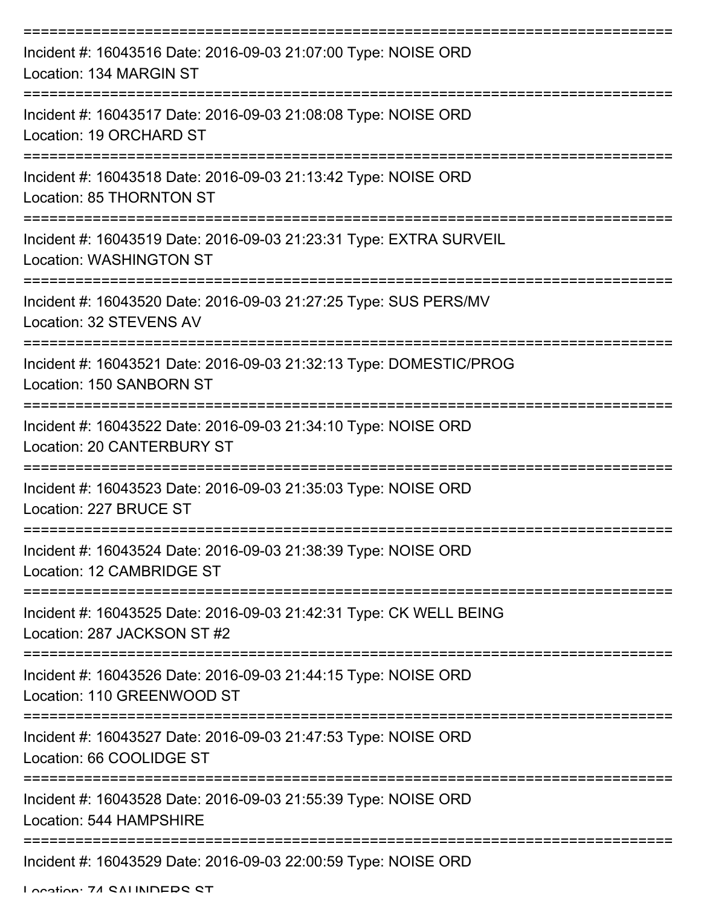| Incident #: 16043516 Date: 2016-09-03 21:07:00 Type: NOISE ORD<br>Location: 134 MARGIN ST                        |
|------------------------------------------------------------------------------------------------------------------|
| Incident #: 16043517 Date: 2016-09-03 21:08:08 Type: NOISE ORD<br>Location: 19 ORCHARD ST                        |
| Incident #: 16043518 Date: 2016-09-03 21:13:42 Type: NOISE ORD<br>Location: 85 THORNTON ST                       |
| Incident #: 16043519 Date: 2016-09-03 21:23:31 Type: EXTRA SURVEIL<br><b>Location: WASHINGTON ST</b>             |
| =================<br>Incident #: 16043520 Date: 2016-09-03 21:27:25 Type: SUS PERS/MV<br>Location: 32 STEVENS AV |
| Incident #: 16043521 Date: 2016-09-03 21:32:13 Type: DOMESTIC/PROG<br>Location: 150 SANBORN ST                   |
| Incident #: 16043522 Date: 2016-09-03 21:34:10 Type: NOISE ORD<br>Location: 20 CANTERBURY ST                     |
| Incident #: 16043523 Date: 2016-09-03 21:35:03 Type: NOISE ORD<br>Location: 227 BRUCE ST                         |
| Incident #: 16043524 Date: 2016-09-03 21:38:39 Type: NOISE ORD<br>Location: 12 CAMBRIDGE ST                      |
| Incident #: 16043525 Date: 2016-09-03 21:42:31 Type: CK WELL BEING<br>Location: 287 JACKSON ST #2                |
| Incident #: 16043526 Date: 2016-09-03 21:44:15 Type: NOISE ORD<br>Location: 110 GREENWOOD ST                     |
| Incident #: 16043527 Date: 2016-09-03 21:47:53 Type: NOISE ORD<br>Location: 66 COOLIDGE ST                       |
| Incident #: 16043528 Date: 2016-09-03 21:55:39 Type: NOISE ORD<br>Location: 544 HAMPSHIRE                        |
| Incident #: 16043529 Date: 2016-09-03 22:00:59 Type: NOISE ORD                                                   |

Location: 74 SALINDERS ST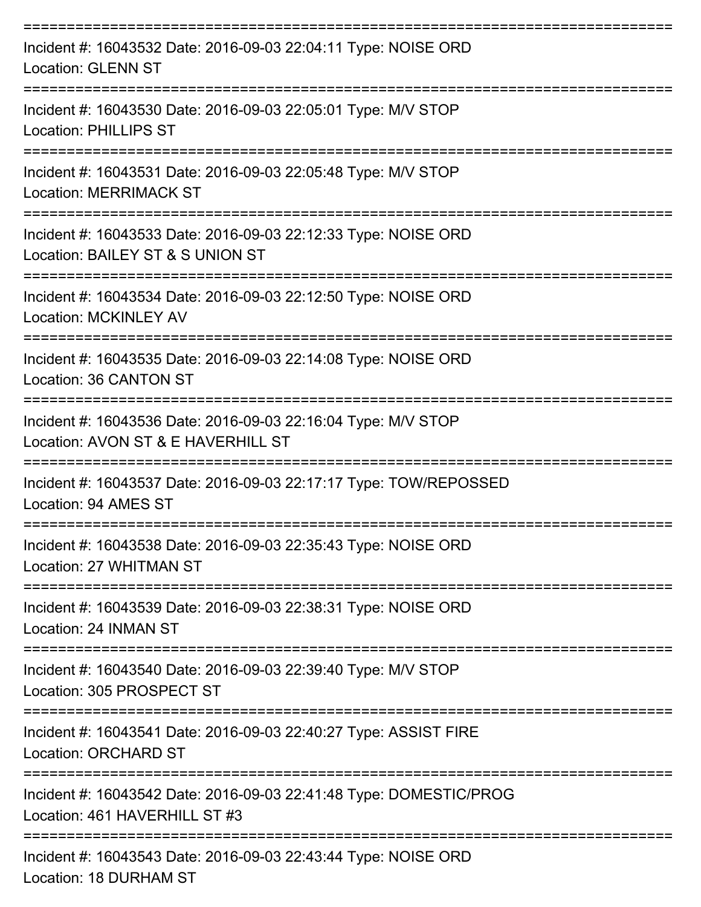| Incident #: 16043532 Date: 2016-09-03 22:04:11 Type: NOISE ORD<br><b>Location: GLENN ST</b>         |
|-----------------------------------------------------------------------------------------------------|
| Incident #: 16043530 Date: 2016-09-03 22:05:01 Type: M/V STOP<br><b>Location: PHILLIPS ST</b>       |
| Incident #: 16043531 Date: 2016-09-03 22:05:48 Type: M/V STOP<br><b>Location: MERRIMACK ST</b>      |
| Incident #: 16043533 Date: 2016-09-03 22:12:33 Type: NOISE ORD<br>Location: BAILEY ST & S UNION ST  |
| Incident #: 16043534 Date: 2016-09-03 22:12:50 Type: NOISE ORD<br><b>Location: MCKINLEY AV</b>      |
| Incident #: 16043535 Date: 2016-09-03 22:14:08 Type: NOISE ORD<br>Location: 36 CANTON ST            |
| Incident #: 16043536 Date: 2016-09-03 22:16:04 Type: M/V STOP<br>Location: AVON ST & E HAVERHILL ST |
| Incident #: 16043537 Date: 2016-09-03 22:17:17 Type: TOW/REPOSSED<br>Location: 94 AMES ST           |
| Incident #: 16043538 Date: 2016-09-03 22:35:43 Type: NOISE ORD<br>Location: 27 WHITMAN ST           |
| Incident #: 16043539 Date: 2016-09-03 22:38:31 Type: NOISE ORD<br>Location: 24 INMAN ST             |
| Incident #: 16043540 Date: 2016-09-03 22:39:40 Type: M/V STOP<br>Location: 305 PROSPECT ST          |
| Incident #: 16043541 Date: 2016-09-03 22:40:27 Type: ASSIST FIRE<br><b>Location: ORCHARD ST</b>     |
| Incident #: 16043542 Date: 2016-09-03 22:41:48 Type: DOMESTIC/PROG<br>Location: 461 HAVERHILL ST #3 |
| Incident #: 16043543 Date: 2016-09-03 22:43:44 Type: NOISE ORD                                      |

Location: 18 DURHAM ST